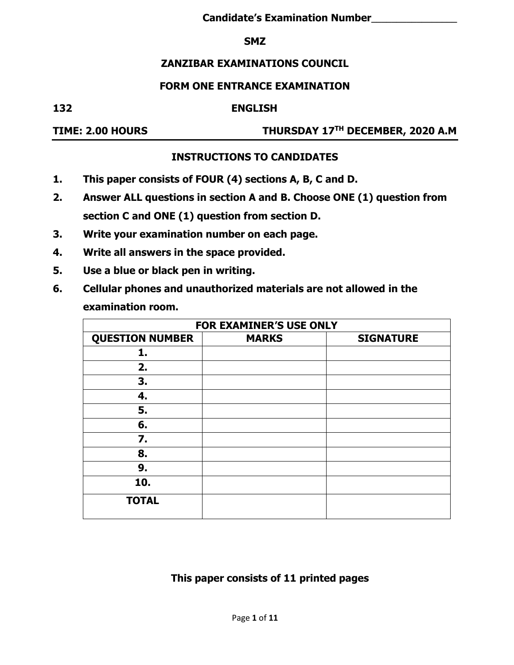#### **SMZ**

## **ZANZIBAR EXAMINATIONS COUNCIL**

#### **FORM ONE ENTRANCE EXAMINATION**

#### **132 ENGLISH**

# **TIME: 2.00 HOURS THURSDAY 17TH DECEMBER, 2020 A.M**

## **INSTRUCTIONS TO CANDIDATES**

- **1. This paper consists of FOUR (4) sections A, B, C and D.**
- **2. Answer ALL questions in section A and B. Choose ONE (1) question from section C and ONE (1) question from section D.**
- **3. Write your examination number on each page.**
- **4. Write all answers in the space provided.**
- **5. Use a blue or black pen in writing.**
- **6. Cellular phones and unauthorized materials are not allowed in the examination room.**

| <b>FOR EXAMINER'S USE ONLY</b> |              |                  |  |  |  |  |
|--------------------------------|--------------|------------------|--|--|--|--|
| <b>QUESTION NUMBER</b>         | <b>MARKS</b> | <b>SIGNATURE</b> |  |  |  |  |
| 1.                             |              |                  |  |  |  |  |
| 2.                             |              |                  |  |  |  |  |
| 3.                             |              |                  |  |  |  |  |
| 4.                             |              |                  |  |  |  |  |
| 5.                             |              |                  |  |  |  |  |
| 6.                             |              |                  |  |  |  |  |
| 7.                             |              |                  |  |  |  |  |
| 8.                             |              |                  |  |  |  |  |
| 9.                             |              |                  |  |  |  |  |
| 10.                            |              |                  |  |  |  |  |
| <b>TOTAL</b>                   |              |                  |  |  |  |  |

## **This paper consists of 11 printed pages**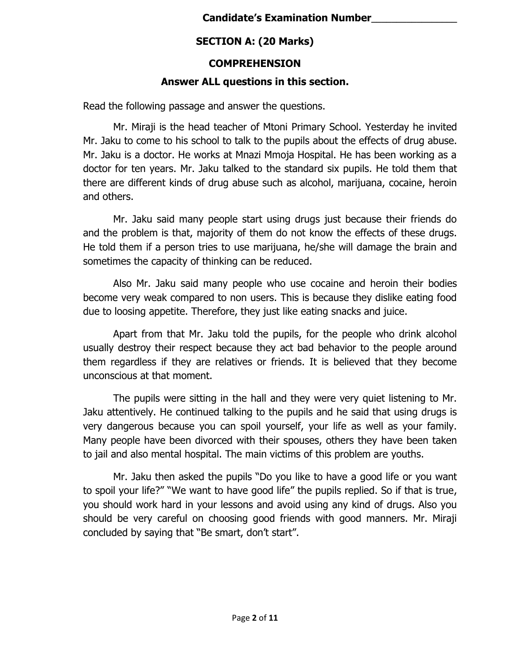# **SECTION A: (20 Marks)**

## **COMPREHENSION**

## **Answer ALL questions in this section.**

Read the following passage and answer the questions.

Mr. Miraji is the head teacher of Mtoni Primary School. Yesterday he invited Mr. Jaku to come to his school to talk to the pupils about the effects of drug abuse. Mr. Jaku is a doctor. He works at Mnazi Mmoja Hospital. He has been working as a doctor for ten years. Mr. Jaku talked to the standard six pupils. He told them that there are different kinds of drug abuse such as alcohol, marijuana, cocaine, heroin and others.

Mr. Jaku said many people start using drugs just because their friends do and the problem is that, majority of them do not know the effects of these drugs. He told them if a person tries to use marijuana, he/she will damage the brain and sometimes the capacity of thinking can be reduced.

Also Mr. Jaku said many people who use cocaine and heroin their bodies become very weak compared to non users. This is because they dislike eating food due to loosing appetite. Therefore, they just like eating snacks and juice.

Apart from that Mr. Jaku told the pupils, for the people who drink alcohol usually destroy their respect because they act bad behavior to the people around them regardless if they are relatives or friends. It is believed that they become unconscious at that moment.

The pupils were sitting in the hall and they were very quiet listening to Mr. Jaku attentively. He continued talking to the pupils and he said that using drugs is very dangerous because you can spoil yourself, your life as well as your family. Many people have been divorced with their spouses, others they have been taken to jail and also mental hospital. The main victims of this problem are youths.

Mr. Jaku then asked the pupils "Do you like to have a good life or you want to spoil your life?" "We want to have good life" the pupils replied. So if that is true, you should work hard in your lessons and avoid using any kind of drugs. Also you should be very careful on choosing good friends with good manners. Mr. Miraji concluded by saying that "Be smart, don't start".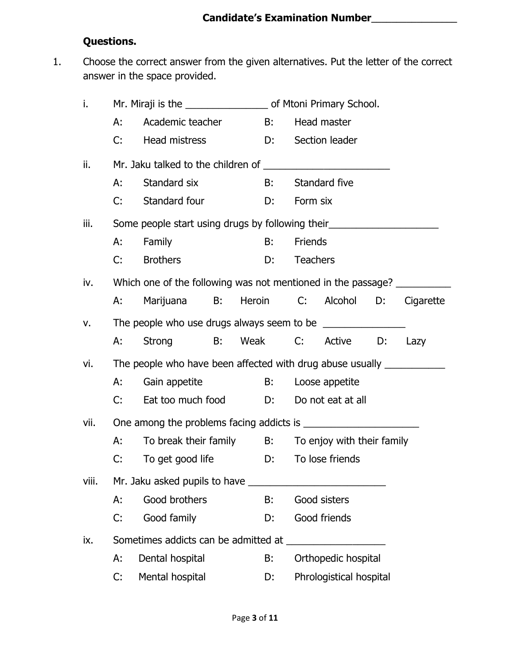# **Questions.**

1. Choose the correct answer from the given alternatives. Put the letter of the correct answer in the space provided.

| i.    |    |                                                                                  |  |  |    |                 |                         |  |      |
|-------|----|----------------------------------------------------------------------------------|--|--|----|-----------------|-------------------------|--|------|
|       | А: | Academic teacher B: Head master                                                  |  |  |    |                 |                         |  |      |
|       | C: | Head mistress                                                                    |  |  |    |                 | D: Section leader       |  |      |
| ii.   |    |                                                                                  |  |  |    |                 |                         |  |      |
|       | А: | Standard six                                                                     |  |  |    |                 | B: Standard five        |  |      |
|       | C: | Standard four                                                                    |  |  | D: | Form six        |                         |  |      |
| iii.  |    | Some people start using drugs by following their                                 |  |  |    |                 |                         |  |      |
|       | A: | Family                                                                           |  |  | B: | Friends         |                         |  |      |
|       | C: | <b>Brothers</b>                                                                  |  |  | D: | <b>Teachers</b> |                         |  |      |
| iv.   |    | Which one of the following was not mentioned in the passage?                     |  |  |    |                 |                         |  |      |
|       | A: | Marijuana B: Heroin C: Alcohol D: Cigarette                                      |  |  |    |                 |                         |  |      |
| v.    |    |                                                                                  |  |  |    |                 |                         |  |      |
|       | А: | Strong B: Weak C: Active D:                                                      |  |  |    |                 |                         |  | Lazy |
| vi.   |    | The people who have been affected with drug abuse usually ______________________ |  |  |    |                 |                         |  |      |
|       | А: | Gain appetite B: Loose appetite                                                  |  |  |    |                 |                         |  |      |
|       | C: | Eat too much food D: Do not eat at all                                           |  |  |    |                 |                         |  |      |
| vii.  |    |                                                                                  |  |  |    |                 |                         |  |      |
|       |    | A: To break their family B: To enjoy with their family                           |  |  |    |                 |                         |  |      |
|       | C: | To get good life <b>D</b> : To lose friends                                      |  |  |    |                 |                         |  |      |
| viii. |    |                                                                                  |  |  |    |                 |                         |  |      |
|       | А: | Good brothers                                                                    |  |  | B: |                 | Good sisters            |  |      |
|       | C: | Good family                                                                      |  |  | D: |                 | Good friends            |  |      |
| ix.   |    |                                                                                  |  |  |    |                 |                         |  |      |
|       | А: | Dental hospital                                                                  |  |  | В: |                 | Orthopedic hospital     |  |      |
|       | C: | Mental hospital<br>D:                                                            |  |  |    |                 | Phrologistical hospital |  |      |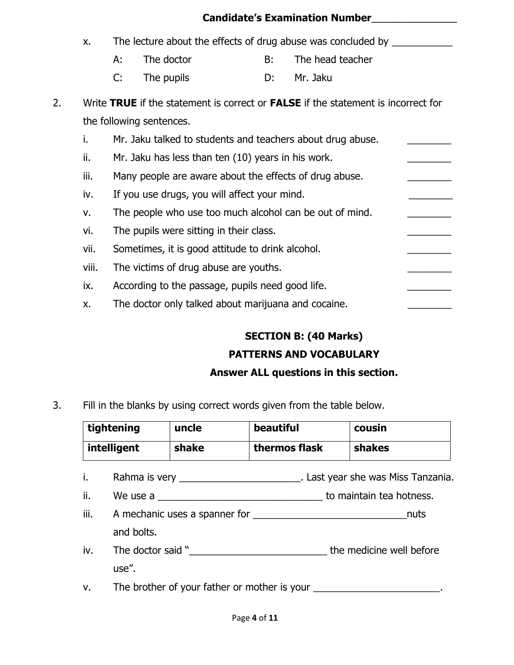|    |       |                                                         |                                                     |    | <b>Candidate's Examination Number</b>                                             |  |  |  |
|----|-------|---------------------------------------------------------|-----------------------------------------------------|----|-----------------------------------------------------------------------------------|--|--|--|
|    | x.    |                                                         |                                                     |    | The lecture about the effects of drug abuse was concluded by                      |  |  |  |
|    |       | А:                                                      | The doctor                                          | B: | The head teacher                                                                  |  |  |  |
|    |       | C:                                                      | The pupils                                          | D: | Mr. Jaku                                                                          |  |  |  |
| 2. |       |                                                         |                                                     |    | Write TRUE if the statement is correct or FALSE if the statement is incorrect for |  |  |  |
|    |       |                                                         | the following sentences.                            |    |                                                                                   |  |  |  |
|    | i.    |                                                         |                                                     |    | Mr. Jaku talked to students and teachers about drug abuse.                        |  |  |  |
|    | ii.   | Mr. Jaku has less than ten (10) years in his work.      |                                                     |    |                                                                                   |  |  |  |
|    | iii.  | Many people are aware about the effects of drug abuse.  |                                                     |    |                                                                                   |  |  |  |
|    | iv.   | If you use drugs, you will affect your mind.            |                                                     |    |                                                                                   |  |  |  |
|    | v.    | The people who use too much alcohol can be out of mind. |                                                     |    |                                                                                   |  |  |  |
|    | vi.   | The pupils were sitting in their class.                 |                                                     |    |                                                                                   |  |  |  |
|    | vii.  |                                                         | Sometimes, it is good attitude to drink alcohol.    |    |                                                                                   |  |  |  |
|    | viii. |                                                         | The victims of drug abuse are youths.               |    |                                                                                   |  |  |  |
|    | ix.   |                                                         | According to the passage, pupils need good life.    |    |                                                                                   |  |  |  |
|    | X.    |                                                         | The doctor only talked about marijuana and cocaine. |    |                                                                                   |  |  |  |

# **SECTION B: (40 Marks)**

# **PATTERNS AND VOCABULARY**

## **Answer ALL questions in this section.**

3. Fill in the blanks by using correct words given from the table below.

| tightening  | uncle | beautiful     | <b>COUSIN</b> |
|-------------|-------|---------------|---------------|
| intelligent | shake | thermos flask | shakes        |

- i. Rahma is very \_\_\_\_\_\_\_\_\_\_\_\_\_\_\_\_\_\_\_\_\_\_\_\_\_. Last year she was Miss Tanzania.
- ii. We use a \_\_\_\_\_\_\_\_\_\_\_\_\_\_\_\_\_\_\_\_\_\_\_\_\_\_\_\_\_\_\_\_\_\_ to maintain tea hotness.
- iii. A mechanic uses a spanner for \_\_\_\_\_\_\_\_\_\_\_\_\_\_\_\_\_\_\_\_\_\_\_\_\_\_\_\_nuts and bolts.
- iv. The doctor said "\_\_\_\_\_\_\_\_\_\_\_\_\_\_\_\_\_\_\_\_\_\_\_\_\_\_\_\_\_\_\_\_\_\_ the medicine well before use".

v. The brother of your father or mother is your \_\_\_\_\_\_\_\_\_\_\_\_\_\_\_\_\_\_\_\_\_\_.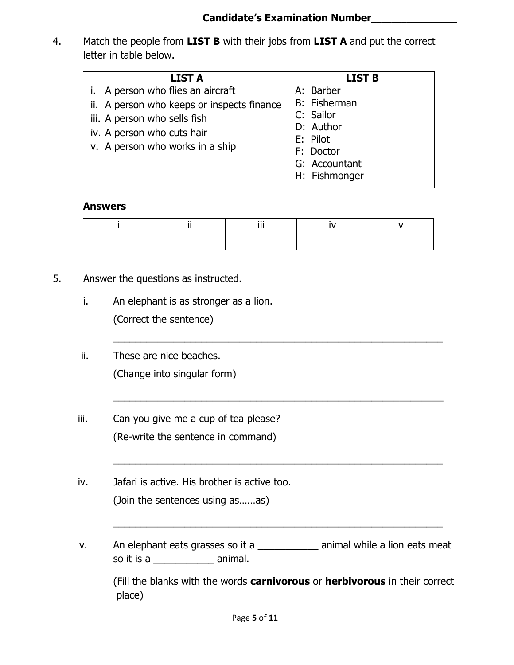4. Match the people from **LIST B** with their jobs from **LIST A** and put the correct letter in table below.

| <b>LIST A</b>                                                                                 | <b>LIST B</b>                                                                     |
|-----------------------------------------------------------------------------------------------|-----------------------------------------------------------------------------------|
| i. A person who flies an aircraft<br>ii. A person who keeps or inspects finance               | A: Barber<br><b>B:</b> Fisherman                                                  |
| iii. A person who sells fish<br>iv. A person who cuts hair<br>v. A person who works in a ship | C: Sailor<br>D: Author<br>E: Pilot<br>F: Doctor<br>G: Accountant<br>H: Fishmonger |

#### **Answers**

 $\overline{a_1}$  ,  $\overline{a_2}$  ,  $\overline{a_3}$  ,  $\overline{a_4}$  ,  $\overline{a_5}$  ,  $\overline{a_6}$  ,  $\overline{a_7}$  ,  $\overline{a_8}$  ,  $\overline{a_9}$  ,  $\overline{a_9}$  ,  $\overline{a_9}$  ,  $\overline{a_9}$  ,  $\overline{a_9}$  ,  $\overline{a_9}$  ,  $\overline{a_9}$  ,  $\overline{a_9}$  ,  $\overline{a_9}$  ,

 $\overline{a_1}$  ,  $\overline{a_2}$  ,  $\overline{a_3}$  ,  $\overline{a_4}$  ,  $\overline{a_5}$  ,  $\overline{a_6}$  ,  $\overline{a_7}$  ,  $\overline{a_8}$  ,  $\overline{a_9}$  ,  $\overline{a_9}$  ,  $\overline{a_9}$  ,  $\overline{a_9}$  ,  $\overline{a_9}$  ,  $\overline{a_9}$  ,  $\overline{a_9}$  ,  $\overline{a_9}$  ,  $\overline{a_9}$  ,

 $\overline{a_1}$  ,  $\overline{a_2}$  ,  $\overline{a_3}$  ,  $\overline{a_4}$  ,  $\overline{a_5}$  ,  $\overline{a_6}$  ,  $\overline{a_7}$  ,  $\overline{a_8}$  ,  $\overline{a_9}$  ,  $\overline{a_9}$  ,  $\overline{a_9}$  ,  $\overline{a_9}$  ,  $\overline{a_9}$  ,  $\overline{a_9}$  ,  $\overline{a_9}$  ,  $\overline{a_9}$  ,  $\overline{a_9}$  ,

 $\overline{a_1}$  ,  $\overline{a_2}$  ,  $\overline{a_3}$  ,  $\overline{a_4}$  ,  $\overline{a_5}$  ,  $\overline{a_6}$  ,  $\overline{a_7}$  ,  $\overline{a_8}$  ,  $\overline{a_9}$  ,  $\overline{a_9}$  ,  $\overline{a_9}$  ,  $\overline{a_9}$  ,  $\overline{a_9}$  ,  $\overline{a_9}$  ,  $\overline{a_9}$  ,  $\overline{a_9}$  ,  $\overline{a_9}$  ,

- 5. Answer the questions as instructed.
	- i. An elephant is as stronger as a lion. (Correct the sentence)
	- ii. These are nice beaches. (Change into singular form)
	- iii. Can you give me a cup of tea please? (Re-write the sentence in command)
	- iv. Jafari is active. His brother is active too. (Join the sentences using as……as)
	- v. An elephant eats grasses so it a \_\_\_\_\_\_\_\_\_\_\_ animal while a lion eats meat so it is a \_\_\_\_\_\_\_\_\_\_\_\_\_\_\_ animal.

(Fill the blanks with the words **carnivorous** or **herbivorous** in their correct place)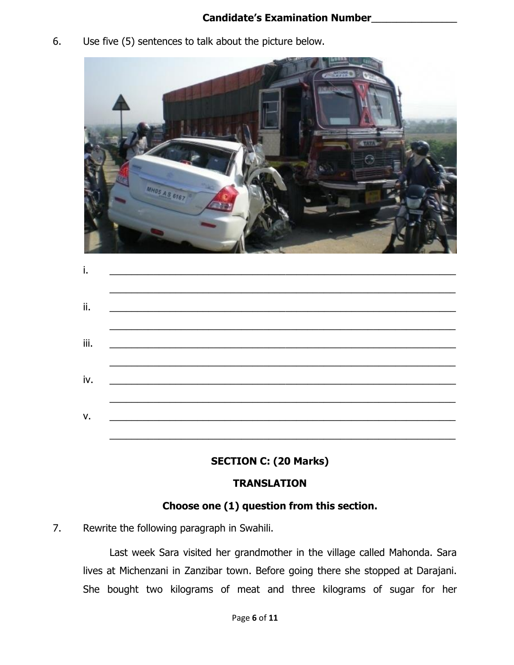#### **Candidate's Examination Number\_\_\_\_\_\_\_\_\_\_\_\_\_\_\_\_\_**

6. Use five (5) sentences to talk about the picture below.



|  | <u> 1989 - Johann Barbara, martin amerikan basal dan berasal dalam basal dalam basal dalam basal dalam basal dala</u> |  |
|--|-----------------------------------------------------------------------------------------------------------------------|--|

## **SECTION C: (20 Marks)**

## **TRANSLATION**

## **Choose one (1) question from this section.**

7. Rewrite the following paragraph in Swahili.

Last week Sara visited her grandmother in the village called Mahonda. Sara lives at Michenzani in Zanzibar town. Before going there she stopped at Darajani. She bought two kilograms of meat and three kilograms of sugar for her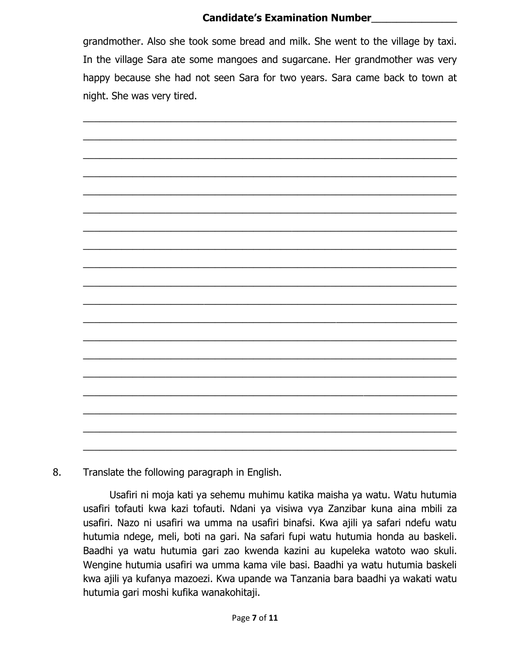### **Candidate's Examination Number\_\_\_\_\_\_\_\_\_\_\_\_\_\_\_\_\_**

grandmother. Also she took some bread and milk. She went to the village by taxi. In the village Sara ate some mangoes and sugarcane. Her grandmother was very happy because she had not seen Sara for two years. Sara came back to town at night. She was very tired.



8. Translate the following paragraph in English.

Usafiri ni moja kati ya sehemu muhimu katika maisha ya watu. Watu hutumia usafiri tofauti kwa kazi tofauti. Ndani ya visiwa vya Zanzibar kuna aina mbili za usafiri. Nazo ni usafiri wa umma na usafiri binafsi. Kwa ajili ya safari ndefu watu hutumia ndege, meli, boti na gari. Na safari fupi watu hutumia honda au baskeli. Baadhi ya watu hutumia gari zao kwenda kazini au kupeleka watoto wao skuli. Wengine hutumia usafiri wa umma kama vile basi. Baadhi ya watu hutumia baskeli kwa ajili ya kufanya mazoezi. Kwa upande wa Tanzania bara baadhi ya wakati watu hutumia gari moshi kufika wanakohitaji.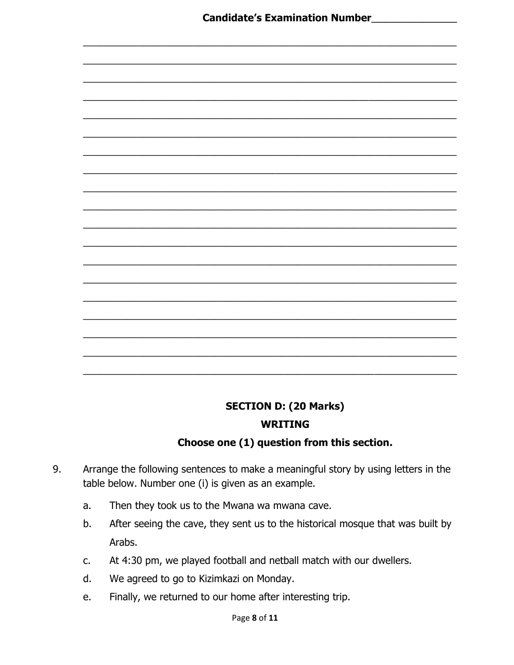

## **SECTION D: (20 Marks)**

#### **WRITING**

## Choose one (1) question from this section.

- Arrange the following sentences to make a meaningful story by using letters in the 9. table below. Number one (i) is given as an example.
	- Then they took us to the Mwana wa mwana cave.  $a_{\cdot}$
	- After seeing the cave, they sent us to the historical mosque that was built by b. Arabs.
	- At 4:30 pm, we played football and netball match with our dwellers.  $C_{\bullet}$
	- We agreed to go to Kizimkazi on Monday.  $\mathsf{d}$ .
	- Finally, we returned to our home after interesting trip. e.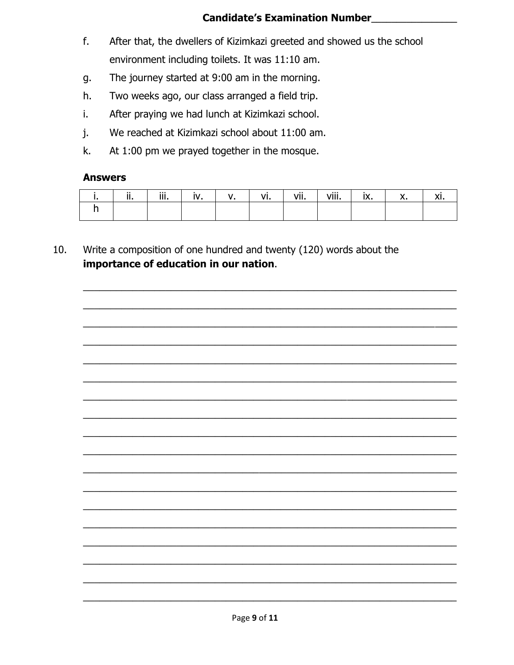#### **Candidate's Examination Number**

- $f_{\cdot}$ After that, the dwellers of Kizimkazi greeted and showed us the school environment including toilets. It was 11:10 am.
- The journey started at 9:00 am in the morning. g.
- Two weeks ago, our class arranged a field trip. h.
- After praying we had lunch at Kizimkazi school. i.
- We reached at Kizimkazi school about 11:00 am. j.
- At 1:00 pm we prayed together in the mosque. k.

#### **Answers**

| $\cdot$ . | $\cdots$<br>. |  | . | $\cdots$<br>vii. | viii.<br>- ---- |  |  |
|-----------|---------------|--|---|------------------|-----------------|--|--|
|           |               |  |   |                  |                 |  |  |

 $10.$ Write a composition of one hundred and twenty (120) words about the importance of education in our nation.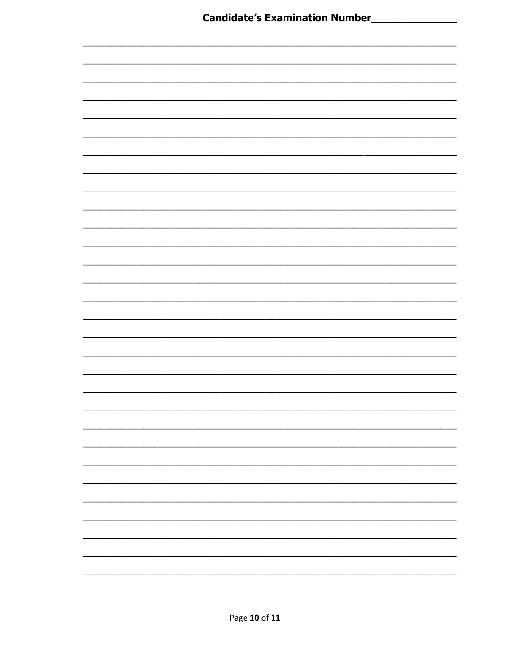| <b>Candidate's Examination Number_</b><br>$\overline{\phantom{a}}$ |  |
|--------------------------------------------------------------------|--|
|                                                                    |  |
|                                                                    |  |
|                                                                    |  |
|                                                                    |  |
|                                                                    |  |
|                                                                    |  |
|                                                                    |  |
|                                                                    |  |
|                                                                    |  |
|                                                                    |  |
|                                                                    |  |
|                                                                    |  |
|                                                                    |  |
|                                                                    |  |
|                                                                    |  |
|                                                                    |  |
|                                                                    |  |
|                                                                    |  |
|                                                                    |  |
|                                                                    |  |
|                                                                    |  |
|                                                                    |  |
|                                                                    |  |
|                                                                    |  |
|                                                                    |  |
|                                                                    |  |
|                                                                    |  |
|                                                                    |  |
|                                                                    |  |
|                                                                    |  |
|                                                                    |  |
|                                                                    |  |
|                                                                    |  |
|                                                                    |  |
|                                                                    |  |
|                                                                    |  |
|                                                                    |  |
|                                                                    |  |
|                                                                    |  |
|                                                                    |  |
|                                                                    |  |
|                                                                    |  |
|                                                                    |  |
|                                                                    |  |
|                                                                    |  |
|                                                                    |  |
|                                                                    |  |
|                                                                    |  |
|                                                                    |  |
|                                                                    |  |
|                                                                    |  |
|                                                                    |  |
|                                                                    |  |